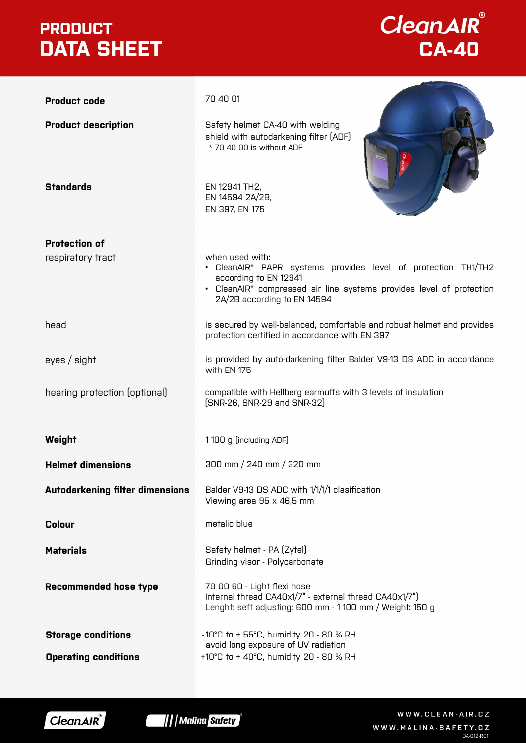### **PRODUCT DATA SHEET**

## **CleanAIR**<br>CA-40

|                                        | 70 40 01                                                                                                                                                                                                                                 |  |
|----------------------------------------|------------------------------------------------------------------------------------------------------------------------------------------------------------------------------------------------------------------------------------------|--|
| <b>Product code</b>                    |                                                                                                                                                                                                                                          |  |
| <b>Product description</b>             | Safety helmet CA-40 with welding<br>shield with autodarkening filter (ADF)<br>* 70 40 00 is without ADF                                                                                                                                  |  |
| <b>Standards</b>                       | EN 12941 TH2,<br>EN 14594 2A/2B,<br>EN 397, EN 175                                                                                                                                                                                       |  |
| <b>Protection of</b>                   |                                                                                                                                                                                                                                          |  |
| respiratory tract                      | when used with:<br>• CleanAIR <sup>®</sup> PAPR systems provides level of protection TH1/TH2<br>according to EN 12941<br>• CleanAIR <sup>®</sup> compressed air line systems provides level of protection<br>2A/2B according to EN 14594 |  |
| head                                   | is secured by well-balanced, comfortable and robust helmet and provides<br>protection certified in accordance with EN 397                                                                                                                |  |
| eyes / sight                           | is provided by auto-darkening filter Balder V9-13 DS ADC in accordance<br>with EN 175                                                                                                                                                    |  |
| hearing protection (optional)          | compatible with Hellberg earmuffs with 3 levels of insulation<br>[SNR-26, SNR-29 and SNR-32]                                                                                                                                             |  |
| Weight                                 | 1100 g (including ADF)                                                                                                                                                                                                                   |  |
| <b>Helmet dimensions</b>               | 300 mm / 240 mm / 320 mm                                                                                                                                                                                                                 |  |
| <b>Autodarkening filter dimensions</b> | Balder V9-13 DS ADC with 1/1/1/1 clasification<br>Viewing area 95 x 46,5 mm                                                                                                                                                              |  |
| <b>Colour</b>                          | metalic blue                                                                                                                                                                                                                             |  |
| <b>Materials</b>                       | Safety helmet - PA [Zytel]<br>Grinding visor - Polycarbonate                                                                                                                                                                             |  |
| <b>Recommended hose type</b>           | 70 00 60 - Light flexi hose<br>Internal thread CA40x1/7" - external thread CA40x1/7"]<br>Lenght: seft adjusting: 600 mm - 1100 mm / Weight: 150 g                                                                                        |  |
| <b>Storage conditions</b>              | -10°C to + 55°C, humidity 20 - 80 % RH<br>avoid long exposure of UV radiation                                                                                                                                                            |  |
| <b>Operating conditions</b>            | +10°C to + 40°C, humidity 20 - 80 % RH                                                                                                                                                                                                   |  |





WWW.CLEAN-AIR.CZ WWW.MALINA-SAFETY.CZ DA-012-R01